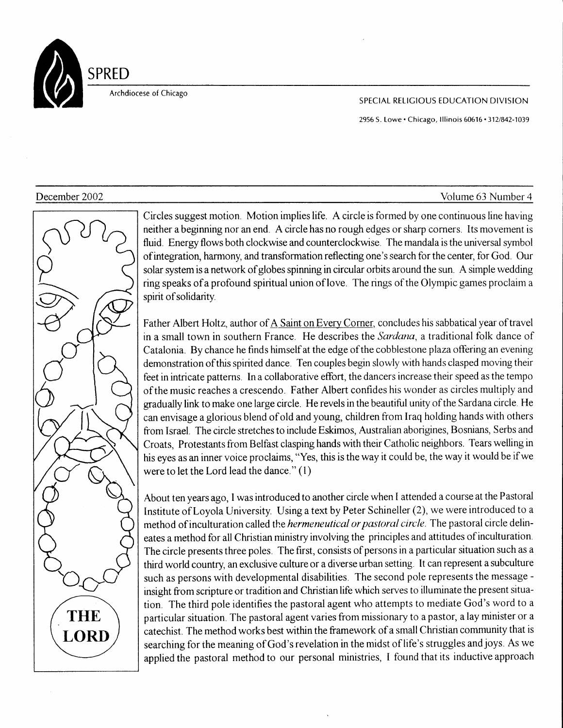

Archdiocese of Chicago

## SPECIAL RELIGIOUS EDUCATION DIVISION

2956 S. Lowe · Chicago, Illinois 60616 · 312/842-1039





Circles suggest motion. Motion implies life. A circle is formed by one continuous line having neither a beginning nor an end. A circle has no rough edges or sharp corners. Its movement is fluid. Energy flows both clockwise and counterclockwise. The mandala is the universal symbol ofintegratioq harmony, and transformation reflecting one's search for the center, for God. Our solar system is a network of globes spinning in circular orbits around the sun. A simple wedding ring speaks of a profound spiritual union of love. The rings of the Olympic games proclaim a spirit of solidarity.

Father Albert Holtz, author of A Saint on Every Corner, concludes his sabbatical year of travel in a small town in southern France. He describes the Sardana, a traditional folk dance of Catalonia. By chance he finds himself at the edge of the cobblestone plaza offering an evening demonstration ofthis spinted dance. Ten couples begrn slowly with hands clasped moving their feet in intricate patterns. In a collaborative effort, the dancers increase their speed as the tempo of the music reaches a crescendo. Father Albert confides his wonder as circles multiply and gradually link to make one large circle. He revels in the beautiful unity of the Sardana circle. He can envis age aglorious blend of old and young, children from traq holding hands with others from Israel. The circle stretches to include Eskimos, Australian aborigines, Bosnians, Serbs and Croats, Protestants from Belfast clasping hands with their Catholic neighbors. Tears welling in his eyes as an inner voice proclaims, "Yes, this is the way it could be, the way it would be if we were to let the Lord lead the dance." (1)

About ten years ago, I was introduced to another circle when I attended a course at the Pastoral Institute of Loyola University. Using a text by Peter Schineller (2), we were introduced to a method of inculturation called the *hermeneutical or pastoral circle*. The pastoral circle delineates a method for all Christian ministry involving the principles and attitudes of inculturation. The circle presents three poles. The first, consists of persons in a particular situation such as a third world country, an exclusive culture or a diverse urban setting. It can represent a subculture such as persons with developmental disabilities. The second pole represents the message insight from scripture or tradition and Christianlife which serves to illuminate the present situation. The third pole identifies the pastoral agent who attempts to mediate God's word to a particular situation. The pastoral agent varies from missionary to a pastor, alay minister or a catechist. The method works best within the framework of a small Christian community that is searching for ihe meaning of God's revelation in the midst of life's struggles and joys, As we applied the pastoral method to our personal ministries, I found that its inductive approach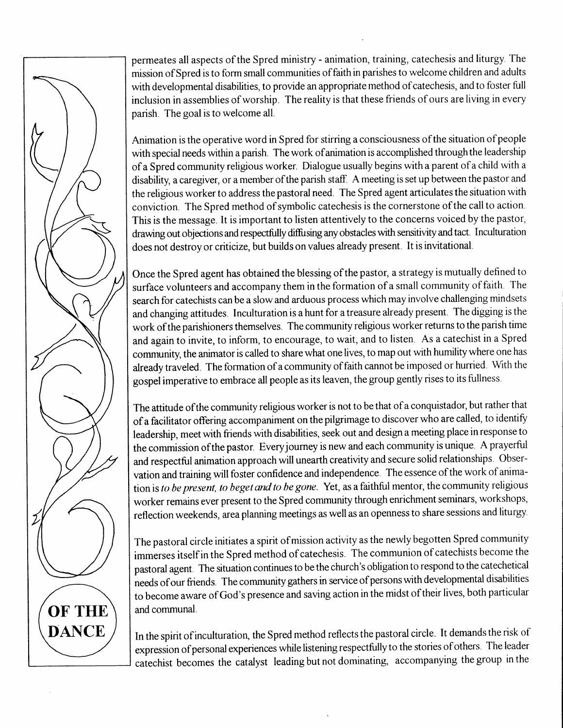permeates all aspects of the Spred ministry - animation, training, catechesis and liturgy The mission of Spred is to form small communities of faith in parishes to welcome children and adults with developmental disabilities, to provide an appropriate method of catechesis, and to foster full inclusion in assemblies of worship. The reality is that these friends of ours are living in every parish. The goal is to welcome all.

Animation is the operative word in Spred for stirring a consciousness of the situation of people with special needs within a parish. The work of animation is accomplished through the leadership of a Spred community religious worker. Dialogue usually begins with a parent of a child with a disability, a caregiver, or a member of the parish staff. A meeting is set up between the pastor and the religious worker to address the pastoral need. The Spred agent articulates the situation with conviction. The Spred method of symbolic catechesis is the cornerstone of the call to action. This is the message. It is important to listen attentively to the concerns voiced by the pastor, drawing out objections and respectfully diffusing any obstacles with sensitivity and tact. Inculturation does not destroy or criticize, but builds on values already present. It is invitational.

Once the Spred agent has obtained the blessing of the pastor, a strategy is mutually defined to surface volunteers and accompany them in the formation of a small community of faith. The search for catechists can be a slow and arduous process which may involve challenging mindsets and changing attitudes. Inculturation is a hunt for a treasure already present. The digging is the work of the parishioners themselves. The community religious worker returns to the parish time and again to invite, to inform, to encourage, to wait, and to listen. As a catechist in a Spred community, the animator is called to share what one lives, to map out with humility where one has already traveled. The formation of a community of faith cannot be imposed or hurried. Wth the gospel imperative to embrace all people as its leaven, the group gently rises to its fullness

The attitude of the community religious worker is not to be that of a conquistador, but rather that of a facilitator offering accompaniment on the pilgrimage to discover who are called, to identify leadership, meet with friends with disabilities, seek out and design a meeting place in response to the commission ofthe pastor. Everyjourney is new and each communrty is unique. A prayerful and respectful animation approach will unearth creativity and secure solid relationships. Observation and training will foster confidence and independence. The essence of the work of animation is to be present, to beget and to be gone. Yet, as a faithful mentor, the community religious worker remains ever present to the Spred community through enrichment seminars, workshops, reflection weekends, area planning meetings as well as an openness to share sessions and liturgy.

The pastoral circle initiates a spirit of mission activity as the newly begotten Spred community immerses itself in the Spred method of catechesis. The communion of catechists become the pastoral agent. The situation continues to be the church's obligation to respond to the catechetical needs of our friends. The community gathers in service of persons with developmental disabilities to become aware of God's presence and saving action in the midst oftheir lives, both particular and communal.

In the spirit of inculturation, the Spred method reflects the pastoral circle. It demands the risk of expression of personal experiences while listening respectfully to the stories of others. The leader catechist becomes the catalyst leading but not dominating, accompanying the group in the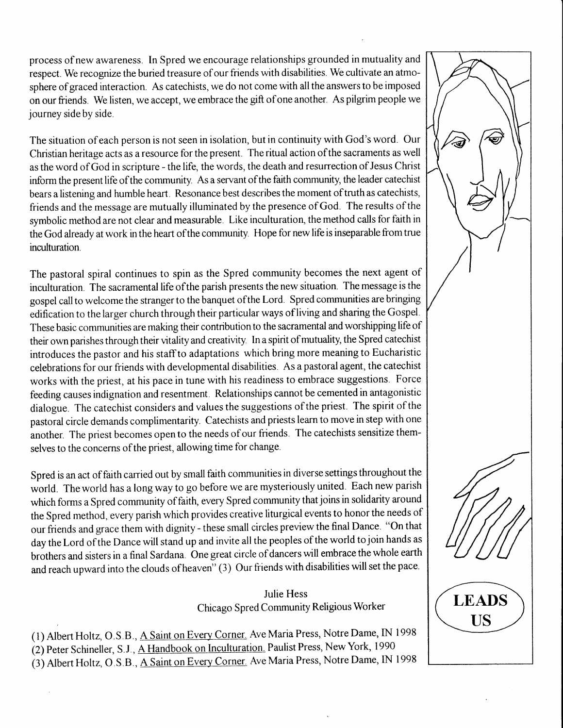process of new awareness. [n Spred we encourage relationships grounded in mutuality and respect. We recognize the buried treasure of our friends with disabilities. We cultivate an atmosphere of graced interaction. As catechists, we do not come with all the answers to be imposed on our friends. We listen, we accept, we embrace the gift of one another. As pilgrim people we journey side by side.

The situation of each person is not seen in isolation, but in continuity with God's word. Our Christian heritage acts as a resource for the present. The ritual action ofthe sacraments as well as the word of God in scriprure - the life, the words, the death and resurrection of Jesus Christ inform the present life of the community. As a servant of the faith community, the leader catechist bears a listening and humble heart. Resonance best describes the moment of truth as catechists, friends and the message are mutually illuminated by the presence of God. The results of the symbolic method are not clear and measurable. Like inculturation, the method calls for faith in the God already at work in the heart ofthe community. Hope for new life is inseparable from true inculturation.

The pastoral spiral continues to spin as the Spred community becomes the next agent of inculturation. The sacramental life ofthe parish presents the new situation. The message is the gospel call to welcome the stranger to the banquet of the Lord. Spred communities are bringing edification to the larger church through their particular ways of living and sharing the Gospel. These basic communities are making their contribution to the sacramental and worshipping life of their own panshes through their vitality and creativiry. In a spirit of mutuality, the Spred catechist introduces the pastor and his staffto adaptations which bring more meaning to Eucharistic celebrations for our friends with developmental disabilities. As a pastoral agent, the catechist works with the priest, at his pace in tune with his readiness to embrace suggestions. Force feeding causes indignation and resentment. Relationships cannot be cemented in antagonistic dialogue. The catechist considers and values the suggestions of the priest. The spirit of the pastoral circle demands complimentarity. Catechists and priests learn to move in step with one another. The priest becomes open to the needs of our friends. The catechists sensitize themselves to the concerns of the priest, allowing time for change.

Spred is an act of faith carried out by small faith communities in diverse settings throughout the world. The world has a long way to go before we are mysteriously united. Each new parish which forms a Spred comrnunity of faith, every Spred cornmunity that joins in solidarity around the Spred method, every parish which provides creative liturgical events to honor the needs of our friends and grace them with dignity - these small circles preview the final Dance. "On that day the Lord of the Dance will stand up and invite all the peoples of the world to join hands as brothers and sisters in a final Sardana. One great circle of dancers will embrace the whole earth and reach upward into the clouds of heaven" (3) Our friends with disabilities will set the pace.

# Julie Hess Chicago Spred Community Religious Worker

(l) Nbert Holtz, O.S.B., A Saint on Every Corner. Ave Maria Press, Notre Dame, IN 1998 (2) peter Schineller, S.J., A Handbook on [nculturation. Paulist Press, New York, 1990 (3) Albert Holtz, O.S.B., A Saint on Every Corner. Ave Maria Press, Notre Dame, IN 1998